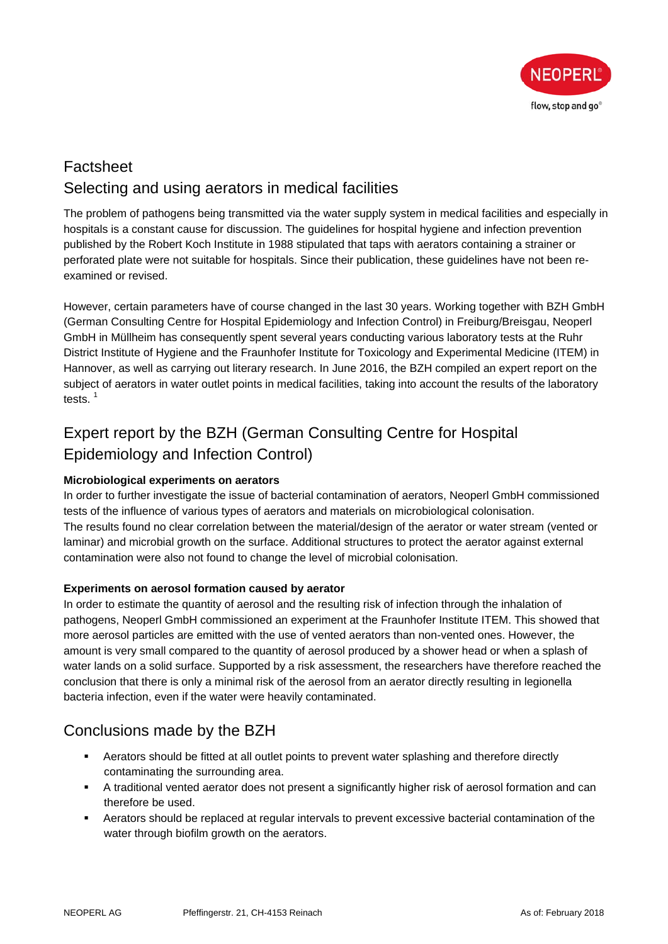

## Factsheet Selecting and using aerators in medical facilities

The problem of pathogens being transmitted via the water supply system in medical facilities and especially in hospitals is a constant cause for discussion. The guidelines for hospital hygiene and infection prevention published by the Robert Koch Institute in 1988 stipulated that taps with aerators containing a strainer or perforated plate were not suitable for hospitals. Since their publication, these guidelines have not been reexamined or revised.

However, certain parameters have of course changed in the last 30 years. Working together with BZH GmbH (German Consulting Centre for Hospital Epidemiology and Infection Control) in Freiburg/Breisgau, Neoperl GmbH in Müllheim has consequently spent several years conducting various laboratory tests at the Ruhr District Institute of Hygiene and the Fraunhofer Institute for Toxicology and Experimental Medicine (ITEM) in Hannover, as well as carrying out literary research. In June 2016, the BZH compiled an expert report on the subject of aerators in water outlet points in medical facilities, taking into account the results of the laboratory tests. $1$ 

# Expert report by the BZH (German Consulting Centre for Hospital Epidemiology and Infection Control)

#### **Microbiological experiments on aerators**

In order to further investigate the issue of bacterial contamination of aerators, Neoperl GmbH commissioned tests of the influence of various types of aerators and materials on microbiological colonisation. The results found no clear correlation between the material/design of the aerator or water stream (vented or laminar) and microbial growth on the surface. Additional structures to protect the aerator against external contamination were also not found to change the level of microbial colonisation.

#### **Experiments on aerosol formation caused by aerator**

In order to estimate the quantity of aerosol and the resulting risk of infection through the inhalation of pathogens, Neoperl GmbH commissioned an experiment at the Fraunhofer Institute ITEM. This showed that more aerosol particles are emitted with the use of vented aerators than non-vented ones. However, the amount is very small compared to the quantity of aerosol produced by a shower head or when a splash of water lands on a solid surface. Supported by a risk assessment, the researchers have therefore reached the conclusion that there is only a minimal risk of the aerosol from an aerator directly resulting in legionella bacteria infection, even if the water were heavily contaminated.

## Conclusions made by the BZH

- Aerators should be fitted at all outlet points to prevent water splashing and therefore directly contaminating the surrounding area.
- A traditional vented aerator does not present a significantly higher risk of aerosol formation and can therefore be used.
- Aerators should be replaced at regular intervals to prevent excessive bacterial contamination of the water through biofilm growth on the aerators.